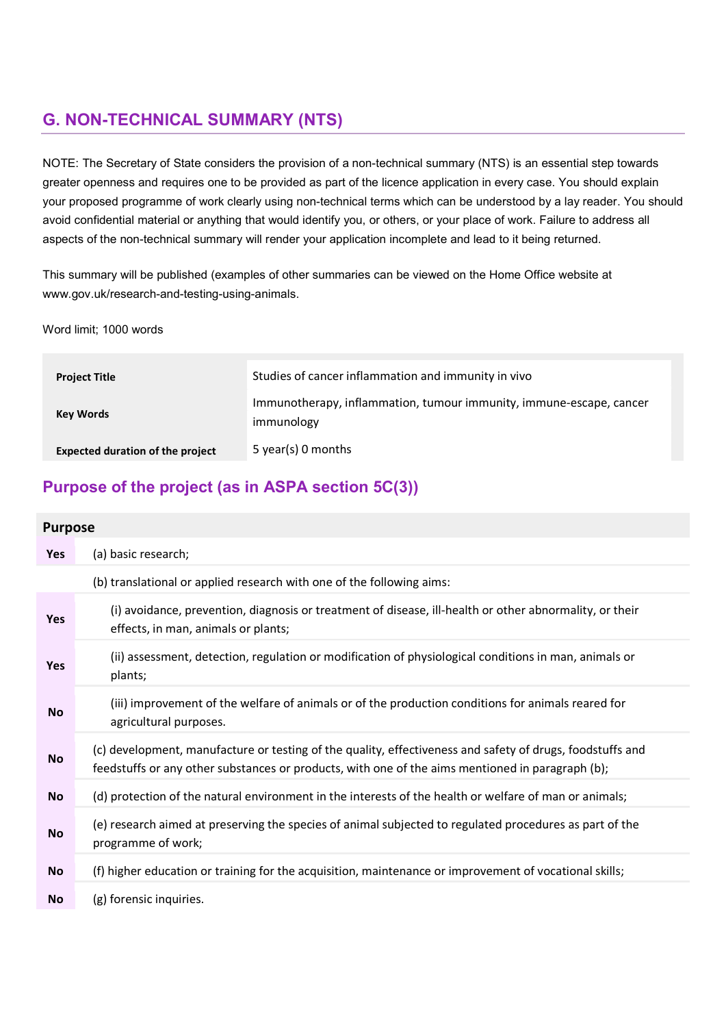# G. NON-TECHNICAL SUMMARY (NTS)

NOTE: The Secretary of State considers the provision of a non-technical summary (NTS) is an essential step towards greater openness and requires one to be provided as part of the licence application in every case. You should explain your proposed programme of work clearly using non-technical terms which can be understood by a lay reader. You should avoid confidential material or anything that would identify you, or others, or your place of work. Failure to address all aspects of the non-technical summary will render your application incomplete and lead to it being returned.

This summary will be published (examples of other summaries can be viewed on the Home Office website at www.gov.uk/research-and-testing-using-animals.

Word limit; 1000 words

| <b>Project Title</b>                    | Studies of cancer inflammation and immunity in vivo                               |
|-----------------------------------------|-----------------------------------------------------------------------------------|
| <b>Key Words</b>                        | Immunotherapy, inflammation, tumour immunity, immune-escape, cancer<br>immunology |
| <b>Expected duration of the project</b> | 5 year(s) 0 months                                                                |

# Purpose of the project (as in ASPA section 5C(3))

### Purpose

| Yes       | (a) basic research;                                                                                                                                                                                           |
|-----------|---------------------------------------------------------------------------------------------------------------------------------------------------------------------------------------------------------------|
|           | (b) translational or applied research with one of the following aims:                                                                                                                                         |
| Yes       | (i) avoidance, prevention, diagnosis or treatment of disease, ill-health or other abnormality, or their<br>effects, in man, animals or plants;                                                                |
| Yes       | (ii) assessment, detection, regulation or modification of physiological conditions in man, animals or<br>plants;                                                                                              |
| <b>No</b> | (iii) improvement of the welfare of animals or of the production conditions for animals reared for<br>agricultural purposes.                                                                                  |
| <b>No</b> | (c) development, manufacture or testing of the quality, effectiveness and safety of drugs, foodstuffs and<br>feedstuffs or any other substances or products, with one of the aims mentioned in paragraph (b); |
| No        | (d) protection of the natural environment in the interests of the health or welfare of man or animals;                                                                                                        |
| <b>No</b> | (e) research aimed at preserving the species of animal subjected to regulated procedures as part of the<br>programme of work;                                                                                 |
| No        | (f) higher education or training for the acquisition, maintenance or improvement of vocational skills;                                                                                                        |
| <b>No</b> | (g) forensic inquiries.                                                                                                                                                                                       |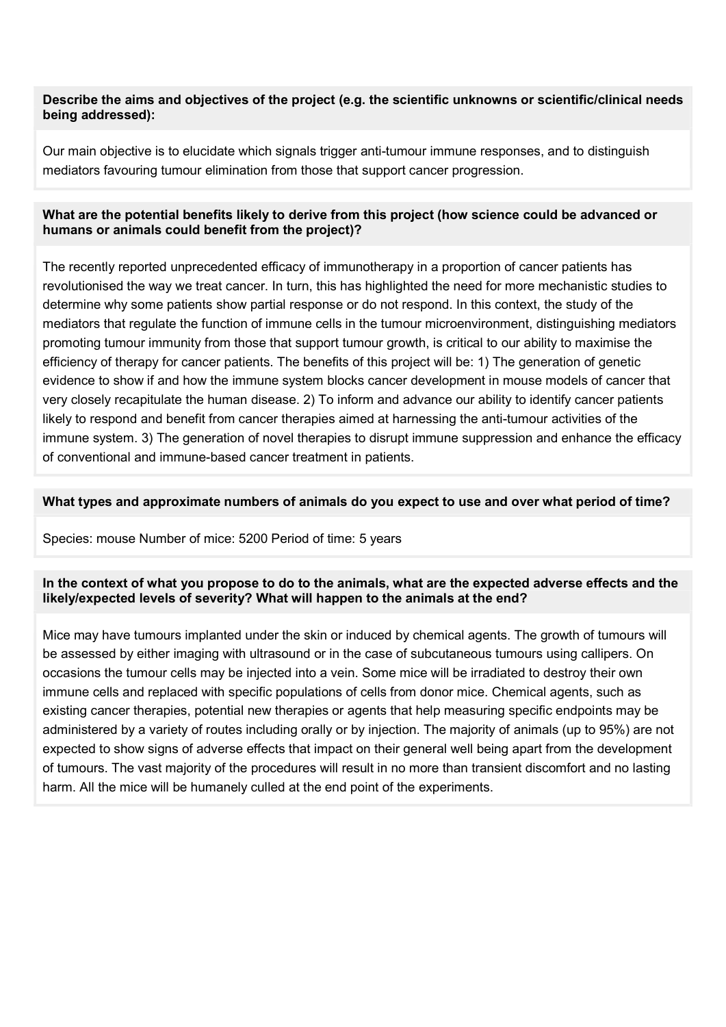### Describe the aims and objectives of the project (e.g. the scientific unknowns or scientific/clinical needs being addressed):

Our main objective is to elucidate which signals trigger anti-tumour immune responses, and to distinguish mediators favouring tumour elimination from those that support cancer progression.

## What are the potential benefits likely to derive from this project (how science could be advanced or humans or animals could benefit from the project)?

The recently reported unprecedented efficacy of immunotherapy in a proportion of cancer patients has revolutionised the way we treat cancer. In turn, this has highlighted the need for more mechanistic studies to determine why some patients show partial response or do not respond. In this context, the study of the mediators that regulate the function of immune cells in the tumour microenvironment, distinguishing mediators promoting tumour immunity from those that support tumour growth, is critical to our ability to maximise the efficiency of therapy for cancer patients. The benefits of this project will be: 1) The generation of genetic evidence to show if and how the immune system blocks cancer development in mouse models of cancer that very closely recapitulate the human disease. 2) To inform and advance our ability to identify cancer patients likely to respond and benefit from cancer therapies aimed at harnessing the anti-tumour activities of the immune system. 3) The generation of novel therapies to disrupt immune suppression and enhance the efficacy of conventional and immune-based cancer treatment in patients.

### What types and approximate numbers of animals do you expect to use and over what period of time?

Species: mouse Number of mice: 5200 Period of time: 5 years

### In the context of what you propose to do to the animals, what are the expected adverse effects and the likely/expected levels of severity? What will happen to the animals at the end?

Mice may have tumours implanted under the skin or induced by chemical agents. The growth of tumours will be assessed by either imaging with ultrasound or in the case of subcutaneous tumours using callipers. On occasions the tumour cells may be injected into a vein. Some mice will be irradiated to destroy their own immune cells and replaced with specific populations of cells from donor mice. Chemical agents, such as existing cancer therapies, potential new therapies or agents that help measuring specific endpoints may be administered by a variety of routes including orally or by injection. The majority of animals (up to 95%) are not expected to show signs of adverse effects that impact on their general well being apart from the development of tumours. The vast majority of the procedures will result in no more than transient discomfort and no lasting harm. All the mice will be humanely culled at the end point of the experiments.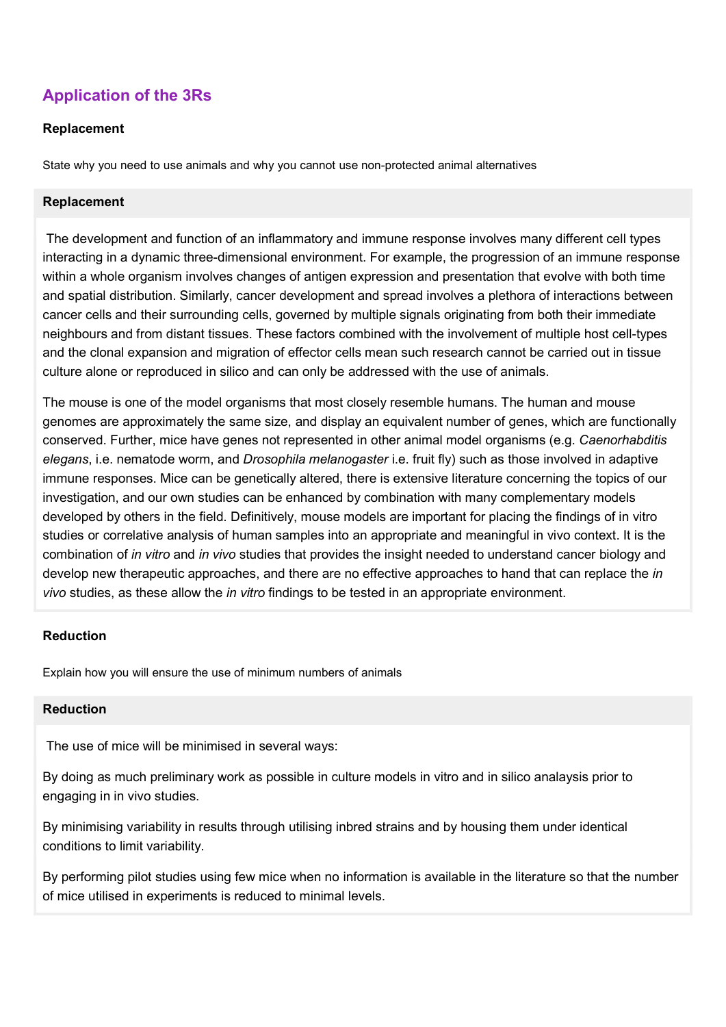# Application of the 3Rs

## Replacement

State why you need to use animals and why you cannot use non-protected animal alternatives

### Replacement

 The development and function of an inflammatory and immune response involves many different cell types interacting in a dynamic three-dimensional environment. For example, the progression of an immune response within a whole organism involves changes of antigen expression and presentation that evolve with both time and spatial distribution. Similarly, cancer development and spread involves a plethora of interactions between cancer cells and their surrounding cells, governed by multiple signals originating from both their immediate neighbours and from distant tissues. These factors combined with the involvement of multiple host cell-types and the clonal expansion and migration of effector cells mean such research cannot be carried out in tissue culture alone or reproduced in silico and can only be addressed with the use of animals.

The mouse is one of the model organisms that most closely resemble humans. The human and mouse genomes are approximately the same size, and display an equivalent number of genes, which are functionally conserved. Further, mice have genes not represented in other animal model organisms (e.g. Caenorhabditis elegans, i.e. nematode worm, and Drosophila melanogaster i.e. fruit fly) such as those involved in adaptive immune responses. Mice can be genetically altered, there is extensive literature concerning the topics of our investigation, and our own studies can be enhanced by combination with many complementary models developed by others in the field. Definitively, mouse models are important for placing the findings of in vitro studies or correlative analysis of human samples into an appropriate and meaningful in vivo context. It is the combination of in vitro and in vivo studies that provides the insight needed to understand cancer biology and develop new therapeutic approaches, and there are no effective approaches to hand that can replace the *in* vivo studies, as these allow the *in vitro* findings to be tested in an appropriate environment.

#### Reduction

Explain how you will ensure the use of minimum numbers of animals

#### Reduction

The use of mice will be minimised in several ways:

By doing as much preliminary work as possible in culture models in vitro and in silico analaysis prior to engaging in in vivo studies.

By minimising variability in results through utilising inbred strains and by housing them under identical conditions to limit variability.

By performing pilot studies using few mice when no information is available in the literature so that the number of mice utilised in experiments is reduced to minimal levels.